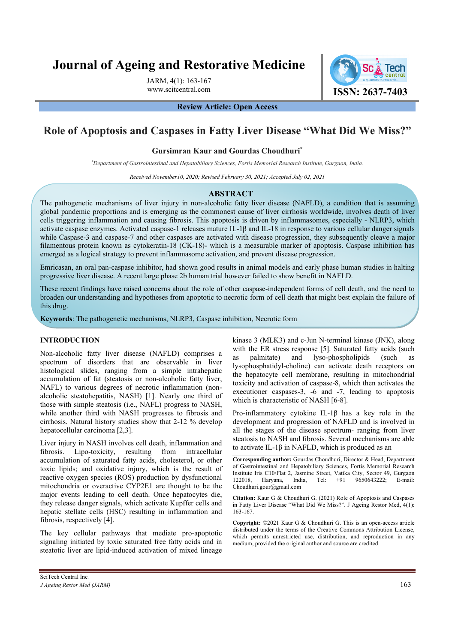# **Journal of Ageing and Restorative Medicine**

JARM, 4(1): 163-167

www.scitcentral.com **ISSN: 2637-7403** 

### **Review Article: Open Access**

# **Role of Apoptosis and Caspases in Fatty Liver Disease "What Did We Miss?"**

#### **Gursimran Kaur and Gourdas Choudhuri\***

*\* Department of Gastrointestinal and Hepatobiliary Sciences, Fortis Memorial Research Institute, Gurgaon, India.* 

*Received November10, 2020; Revised February 30, 2021; Accepted July 02, 2021* 

#### **ABSTRACT**

The pathogenetic mechanisms of liver injury in non-alcoholic fatty liver disease (NAFLD), a condition that is assuming global pandemic proportions and is emerging as the commonest cause of liver cirrhosis worldwide, involves death of liver cells triggering inflammation and causing fibrosis. This apoptosis is driven by inflammasomes, especially - NLRP3, which activate caspase enzymes. Activated caspase-1 releases mature IL-1 $\beta$  and IL-18 in response to various cellular danger signals while Caspase-3 and caspase-7 and other caspases are activated with disease progression, they subsequently cleave a major filamentous protein known as cytokeratin-18 (CK-18)- which is a measurable marker of apoptosis. Caspase inhibition has emerged as a logical strategy to prevent inflammasome activation, and prevent disease progression.

Emricasan, an oral pan-caspase inhibitor, had shown good results in animal models and early phase human studies in halting progressive liver disease. A recent large phase 2b human trial however failed to show benefit in NAFLD.

These recent findings have raised concerns about the role of other caspase-independent forms of cell death, and the need to broaden our understanding and hypotheses from apoptotic to necrotic form of cell death that might best explain the failure of this drug.

**Keywords**: The pathogenetic mechanisms, NLRP3, Caspase inhibition, Necrotic form

# **INTRODUCTION**

Non-alcoholic fatty liver disease (NAFLD) comprises a spectrum of disorders that are observable in liver histological slides, ranging from a simple intrahepatic accumulation of fat (steatosis or non-alcoholic fatty liver, NAFL) to various degrees of necrotic inflammation (nonalcoholic steatohepatitis, NASH) [1]. Nearly one third of those with simple steatosis (i.e., NAFL) progress to NASH, while another third with NASH progresses to fibrosis and cirrhosis. Natural history studies show that 2-12 % develop hepatocellular carcinoma [2,3].

Liver injury in NASH involves cell death, inflammation and fibrosis. Lipo-toxicity, resulting from intracellular accumulation of saturated fatty acids, cholesterol, or other toxic lipids; and oxidative injury, which is the result of reactive oxygen species (ROS) production by dysfunctional mitochondria or overactive CYP2E1 are thought to be the major events leading to cell death. Once hepatocytes die, they release danger signals, which activate Kupffer cells and hepatic stellate cells (HSC) resulting in inflammation and fibrosis, respectively [4].

The key cellular pathways that mediate pro-apoptotic signaling initiated by toxic saturated free fatty acids and in steatotic liver are lipid-induced activation of mixed lineage

kinase 3 (MLK3) and c-Jun N-terminal kinase (JNK), along with the ER stress response [5]. Saturated fatty acids (such palmitate) and lyso-phospholipids (such as lysophosphatidyl-choline) can activate death receptors on the hepatocyte cell membrane, resulting in mitochondrial toxicity and activation of caspase-8, which then activates the executioner caspases-3, -6 and -7, leading to apoptosis which is characteristic of NASH [6-8].

Pro-inflammatory cytokine IL-1β has a key role in the development and progression of NAFLD and is involved in all the stages of the disease spectrum- ranging from liver steatosis to NASH and fibrosis. Several mechanisms are able to activate IL-1 $\beta$  in NAFLD, which is produced as an

**Corresponding author:** Gourdas Choudhuri, Director & Head, Department of Gastrointestinal and Hepatobiliary Sciences, Fortis Memorial Research Institute Iris C10/Flat 2, Jasmine Street, Vatika City, Sector 49, Gurgaon 122018, Haryana, India, Tel: +91 9650643222; E-mail: Choudhuri.gour@gmail.com

**Citation:** Kaur G & Choudhuri G. (2021) Role of Apoptosis and Caspases in Fatty Liver Disease "What Did We Miss?". J Ageing Restor Med, 4(1): 163-167.

**Copyright:** ©2021 Kaur G & Choudhuri G. This is an open-access article distributed under the terms of the Creative Commons Attribution License, which permits unrestricted use, distribution, and reproduction in any medium, provided the original author and source are credited.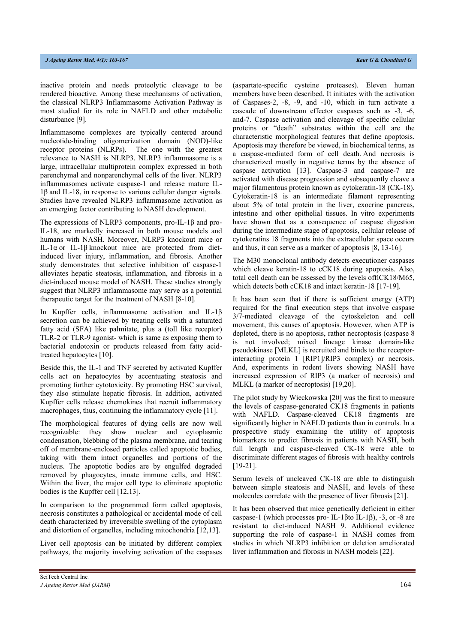inactive protein and needs proteolytic cleavage to be rendered bioactive. Among these mechanisms of activation, the classical NLRP3 Inflammasome Activation Pathway is most studied for its role in NAFLD and other metabolic disturbance [9].

Inflammasome complexes are typically centered around nucleotide-binding oligomerization domain (NOD)-like receptor proteins (NLRPs). The one with the greatest relevance to NASH is NLRP3. NLRP3 inflammasome is a large, intracellular multiprotein complex expressed in both parenchymal and nonparenchymal cells of the liver. NLRP3 inflammasomes activate caspase-1 and release mature IL-1β and IL-18, in response to various cellular danger signals. Studies have revealed NLRP3 inflammasome activation as an emerging factor contributing to NASH development.

The expressions of NLRP3 components, pro-IL-1β and pro-IL-18, are markedly increased in both mouse models and humans with NASH. Moreover, NLRP3 knockout mice or IL-1α or IL-1β knockout mice are protected from dietinduced liver injury, inflammation, and fibrosis. Another study demonstrates that selective inhibition of caspase-1 alleviates hepatic steatosis, inflammation, and fibrosis in a diet-induced mouse model of NASH. These studies strongly suggest that NLRP3 inflammasome may serve as a potential therapeutic target for the treatment of NASH [8-10].

In Kupffer cells, inflammasome activation and IL-1β secretion can be achieved by treating cells with a saturated fatty acid (SFA) like palmitate, plus a (toll like receptor) TLR-2 or TLR-9 agonist- which is same as exposing them to bacterial endotoxin or products released from fatty acidtreated hepatocytes [10].

Beside this, the IL-1 and TNF secreted by activated Kupffer cells act on hepatocytes by accentuating steatosis and promoting further cytotoxicity. By promoting HSC survival, they also stimulate hepatic fibrosis. In addition, activated Kupffer cells release chemokines that recruit inflammatory macrophages, thus, continuing the inflammatory cycle [11].

The morphological features of dying cells are now well recognizable: they show nuclear and cytoplasmic condensation, blebbing of the plasma membrane, and tearing off of membrane-enclosed particles called apoptotic bodies, taking with them intact organelles and portions of the nucleus. The apoptotic bodies are by engulfed degraded removed by phagocytes, innate immune cells, and HSC. Within the liver, the major cell type to eliminate apoptotic bodies is the Kupffer cell [12,13].

In comparison to the programmed form called apoptosis, necrosis constitutes a pathological or accidental mode of cell death characterized by irreversible swelling of the cytoplasm and distortion of organelles, including mitochondria [12,13].

Liver cell apoptosis can be initiated by different complex pathways, the majority involving activation of the caspases (aspartate‐specific cysteine proteases). Eleven human members have been described. It initiates with the activation of Caspases‐2, ‐8, ‐9, and ‐10, which in turn activate a cascade of downstream effector caspases such as ‐3, ‐6, and‐7. Caspase activation and cleavage of specific cellular proteins or "death" substrates within the cell are the characteristic morphological features that define apoptosis. Apoptosis may therefore be viewed, in biochemical terms, as a caspase-mediated form of cell death. And necrosis is characterized mostly in negative terms by the absence of caspase activation [13]. Caspase-3 and caspase-7 are activated with disease progression and subsequently cleave a major filamentous protein known as cytokeratin-18 (CK-18). Cytokeratin‐18 is an intermediate filament representing about 5% of total protein in the liver, exocrine pancreas, intestine and other epithelial tissues. In vitro experiments have shown that as a consequence of caspase digestion during the intermediate stage of apoptosis, cellular release of cytokeratins 18 fragments into the extracellular space occurs and thus, it can serve as a marker of apoptosis [8, 13-16].

The M30 monoclonal antibody detects executioner caspases which cleave keratin-18 to cCK18 during apoptosis. Also, total cell death can be assessed by the levels offlCK18/M65, which detects both cCK18 and intact keratin-18 [17-19].

It has been seen that if there is sufficient energy (ATP) required for the final execution steps that involve caspase 3/7-mediated cleavage of the cytoskeleton and cell movement, this causes of apoptosis. However, when ATP is depleted, there is no apoptosis, rather necroptosis (caspase 8 is not involved; mixed lineage kinase domain-like pseudokinase [MLKL] is recruited and binds to the receptorinteracting protein 1 [RIP1]/RIP3 complex) or necrosis. And, experiments in rodent livers showing NASH have increased expression of RIP3 (a marker of necrosis) and MLKL (a marker of necroptosis) [19,20].

The pilot study by Wieckowska [20] was the first to measure the levels of caspase‐generated CK18 fragments in patients with NAFLD. Caspase-cleaved CK18 fragments are significantly higher in NAFLD patients than in controls. In a prospective study examining the utility of apoptosis biomarkers to predict fibrosis in patients with NASH, both full length and caspase-cleaved CK-18 were able to discriminate different stages of fibrosis with healthy controls [19-21].

Serum levels of uncleaved CK-18 are able to distinguish between simple steatosis and NASH, and levels of these molecules correlate with the presence of liver fibrosis [21].

It has been observed that mice genetically deficient in either caspase-1 (which processes pro- IL-1βto IL-1β), -3, or -8 are resistant to diet‐induced NASH 9. Additional evidence supporting the role of caspase-1 in NASH comes from studies in which NLRP3 inhibition or deletion ameliorated liver inflammation and fibrosis in NASH models [22].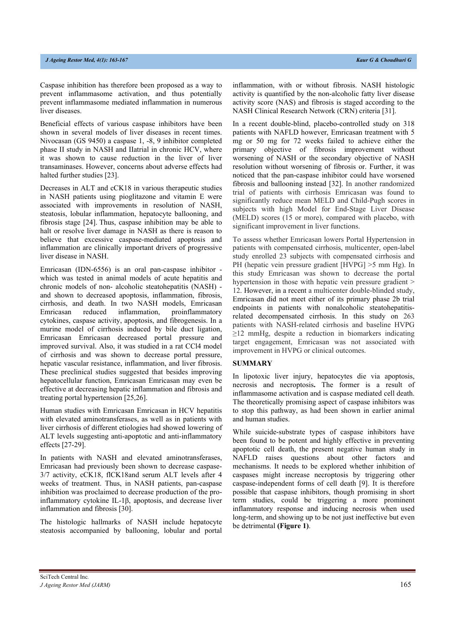Caspase inhibition has therefore been proposed as a way to prevent inflammasome activation, and thus potentially prevent inflammasome mediated inflammation in numerous liver diseases.

Beneficial effects of various caspase inhibitors have been shown in several models of liver diseases in recent times. Nivocasan (GS 9450) a caspase 1, -8, 9 inhibitor completed phase II study in NASH and IIatrial in chronic HCV, where it was shown to cause reduction in the liver of liver transaminases. However, concerns about adverse effects had halted further studies [23].

Decreases in ALT and cCK18 in various therapeutic studies in NASH patients using pioglitazone and vitamin E were associated with improvements in resolution of NASH, steatosis, lobular inflammation, hepatocyte ballooning, and fibrosis stage [24]. Thus, caspase inhibition may be able to halt or resolve liver damage in NASH as there is reason to believe that excessive caspase‐mediated apoptosis and inflammation are clinically important drivers of progressive liver disease in NASH.

Emricasan (IDN-6556) is an oral pan-caspase inhibitor which was tested in animal models of acute hepatitis and chronic models of non- alcoholic steatohepatitis (NASH) and shown to decreased apoptosis, inflammation, fibrosis, cirrhosis, and death. In two NASH models, Emricasan Emricasan reduced inflammation, proinflammatory cytokines, caspase activity, apoptosis, and fibrogenesis. In a murine model of cirrhosis induced by bile duct ligation, Emricasan Emricasan decreased portal pressure and improved survival. Also, it was studied in a rat CCl4 model of cirrhosis and was shown to decrease portal pressure, hepatic vascular resistance, inflammation, and liver fibrosis. These preclinical studies suggested that besides improving hepatocellular function, Emricasan Emricasan may even be effective at decreasing hepatic inflammation and fibrosis and treating portal hypertension [25,26].

Human studies with Emricasan Emricasan in HCV hepatitis with elevated aminotransferases, as well as in patients with liver cirrhosis of different etiologies had showed lowering of ALT levels suggesting anti‐apoptotic and anti‐inflammatory effects [27-29].

In patients with NASH and elevated aminotransferases, Emricasan had previously been shown to decrease caspase-3/7 activity, cCK18, flCK18and serum ALT levels after 4 weeks of treatment. Thus, in NASH patients, pan-caspase inhibition was proclaimed to decrease production of the proinflammatory cytokine IL-1β, apoptosis, and decrease liver inflammation and fibrosis [30].

The histologic hallmarks of NASH include hepatocyte steatosis accompanied by ballooning, lobular and portal inflammation, with or without fibrosis. NASH histologic activity is quantified by the non-alcoholic fatty liver disease activity score (NAS) and fibrosis is staged according to the NASH Clinical Research Network (CRN) criteria [31].

In a recent double-blind, placebo-controlled study on 318 patients with NAFLD however, Emricasan treatment with 5 mg or 50 mg for 72 weeks failed to achieve either the primary objective of fibrosis improvement without worsening of NASH or the secondary objective of NASH resolution without worsening of fibrosis or. Further, it was noticed that the pan-caspase inhibitor could have worsened fibrosis and ballooning instead [32]. In another randomized trial of patients with cirrhosis Emricasan was found to significantly reduce mean MELD and Child-Pugh scores in subjects with high Model for End-Stage Liver Disease (MELD) scores (15 or more), compared with placebo, with significant improvement in liver functions.

To assess whether Emricasan lowers Portal Hypertension in patients with compensated cirrhosis, multicenter, open-label study enrolled 23 subjects with compensated cirrhosis and PH (hepatic vein pressure gradient [HVPG] >5 mm Hg). In this study Emricasan was shown to decrease the portal hypertension in those with hepatic vein pressure gradient > 12. However, in a recent a multicenter double-blinded study, Emricasan did not meet either of its primary phase 2b trial endpoints in patients with nonalcoholic steatohepatitisrelated decompensated cirrhosis. In this study on 263 patients with NASH-related cirrhosis and baseline HVPG  $\geq$ 12 mmHg, despite a reduction in biomarkers indicating target engagement, Emricasan was not associated with improvement in HVPG or clinical outcomes.

#### **SUMMARY**

In lipotoxic liver injury, hepatocytes die via apoptosis, necrosis and necroptosis**.** The former is a result of inflammasome activation and is caspase mediated cell death. The theoretically promising aspect of caspase inhibitors was to stop this pathway, as had been shown in earlier animal and human studies.

While suicide-substrate types of caspase inhibitors have been found to be potent and highly effective in preventing apoptotic cell death, the present negative human study in NAFLD raises questions about other factors and mechanisms. It needs to be explored whether inhibition of caspases might increase necroptosis by triggering other caspase-independent forms of cell death [9]. It is therefore possible that caspase inhibitors, though promising in short term studies, could be triggering a more prominent inflammatory response and inducing necrosis when used long-term, and showing up to be not just ineffective but even be detrimental **(Figure 1)**.

SciTech Central Inc*. J Ageing Restor Med (JARM)* 165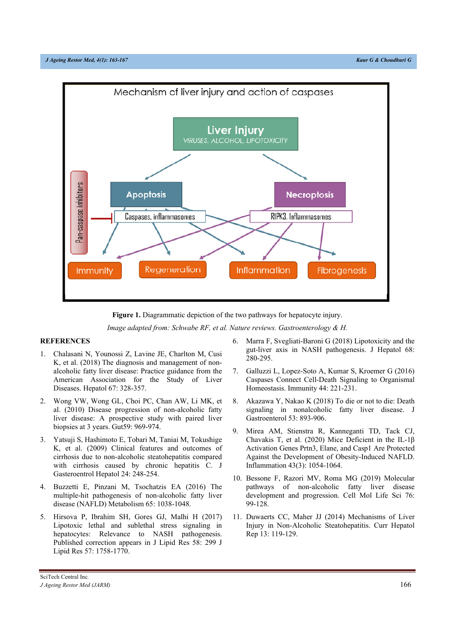



*Image adapted from: Schwabe RF, et al. Nature reviews. Gastroenterology & H.* 

# **REFERENCES**

- 1. Chalasani N, Younossi Z, Lavine JE, Charlton M, Cusi K, et al. (2018) The diagnosis and management of nonalcoholic fatty liver disease: Practice guidance from the American Association for the Study of Liver Diseases. Hepatol 67: 328‐357.
- 2. Wong VW, Wong GL, Choi PC, Chan AW, Li MK, et al. (2010) Disease progression of non-alcoholic fatty liver disease: A prospective study with paired liver biopsies at 3 years. Gut59: 969-974.
- 3. Yatsuji S, Hashimoto E, Tobari M, Taniai M, Tokushige K, et al. (2009) Clinical features and outcomes of cirrhosis due to non-alcoholic steatohepatitis compared with cirrhosis caused by chronic hepatitis C. J Gasteroentrol Hepatol 24: 248-254.
- 4. Buzzetti E, Pinzani M, Tsochatzis EA (2016) The multiple-hit pathogenesis of non-alcoholic fatty liver disease (NAFLD) Metabolism 65: 1038‐1048.
- 5. Hirsova P, Ibrahim SH, Gores GJ, Malhi H (2017) Lipotoxic lethal and sublethal stress signaling in hepatocytes: Relevance to NASH pathogenesis. Published correction appears in J Lipid Res 58: 299 J Lipid Res 57: 1758‐1770.
- 6. Marra F, Svegliati-Baroni G (2018) Lipotoxicity and the gut-liver axis in NASH pathogenesis. J Hepatol 68: 280‐295.
- 7. Galluzzi L, Lopez-Soto A, Kumar S, Kroemer G (2016) Caspases Connect Cell-Death Signaling to Organismal Homeostasis. Immunity 44: 221-231.
- 8. Akazawa Y, Nakao K (2018) To die or not to die: Death signaling in nonalcoholic fatty liver disease. J Gastroenterol 53: 893-906.
- 9. Mirea AM, Stienstra R, Kanneganti TD, Tack CJ, Chavakis T, et al. (2020) Mice Deficient in the IL-1β Activation Genes Prtn3, Elane, and Casp1 Are Protected Against the Development of Obesity-Induced NAFLD. Inflammation 43(3): 1054-1064.
- 10. Bessone F, Razori MV, Roma MG (2019) Molecular pathways of non-alcoholic fatty liver disease development and progression. Cell Mol Life Sci 76: 99‐128.
- 11. Duwaerts CC, Maher JJ (2014) Mechanisms of Liver Injury in Non-Alcoholic Steatohepatitis. Curr Hepatol Rep 13: 119‐129.

SciTech Central Inc*. J Ageing Restor Med (JARM)* 166